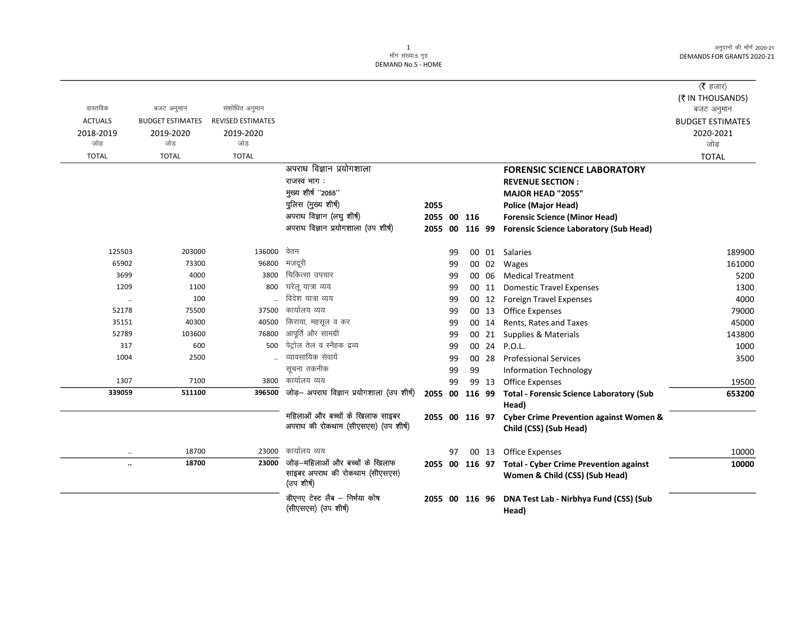अनुदानों की माँगें 2020-21 DEMANDS FOR GRANTS 2020-21

 $\overline{\phantom{0}}$ 

## 1<br>माँग संख्या.5 गृह DEMAND No.5 - HOME

|                      |                                       |                                            |                                                      |                |    |    |       |                                                       | (रै हजार)               |
|----------------------|---------------------------------------|--------------------------------------------|------------------------------------------------------|----------------|----|----|-------|-------------------------------------------------------|-------------------------|
| वास्तविक             |                                       |                                            |                                                      |                |    |    |       |                                                       | (₹ IN THOUSANDS)        |
| <b>ACTUALS</b>       | बजट अनुमान<br><b>BUDGET ESTIMATES</b> | संशोधित अनुमान<br><b>REVISED ESTIMATES</b> |                                                      |                |    |    |       |                                                       | बजट अनुमान              |
|                      |                                       |                                            |                                                      |                |    |    |       |                                                       | <b>BUDGET ESTIMATES</b> |
| 2018-2019<br>जोड़    | 2019-2020<br>जोड                      | 2019-2020<br>जोड़                          |                                                      |                |    |    |       |                                                       | 2020-2021<br>जोड        |
| <b>TOTAL</b>         | <b>TOTAL</b>                          | <b>TOTAL</b>                               |                                                      |                |    |    |       |                                                       | <b>TOTAL</b>            |
|                      |                                       |                                            | अपराध विज्ञान प्रयोगशाला                             |                |    |    |       | <b>FORENSIC SCIENCE LABORATORY</b>                    |                         |
|                      |                                       |                                            | राजस्व भाग:                                          |                |    |    |       | <b>REVENUE SECTION:</b>                               |                         |
|                      |                                       |                                            | मुख्य शीर्ष "2055"                                   |                |    |    |       | <b>MAJOR HEAD "2055"</b>                              |                         |
|                      |                                       |                                            | पुलिस (मुख्य शीर्ष)                                  | 2055           |    |    |       | <b>Police (Major Head)</b>                            |                         |
|                      |                                       |                                            | अपराध विज्ञान (लघु शीर्ष)                            | 2055 00 116    |    |    |       | <b>Forensic Science (Minor Head)</b>                  |                         |
|                      |                                       |                                            | अपराघ विज्ञान प्रयोगशाला (उप शीर्ष)                  | 2055 00 116 99 |    |    |       | <b>Forensic Science Laboratory (Sub Head)</b>         |                         |
|                      |                                       |                                            |                                                      |                |    |    |       |                                                       |                         |
| 125503               | 203000                                | 136000                                     | वेतन                                                 |                | 99 |    |       | 00 01 Salaries                                        | 189900                  |
| 65902                | 73300                                 | 96800                                      | मजदूरी                                               |                | 99 |    |       | 00 02 Wages                                           | 161000                  |
| 3699                 | 4000                                  | 3800                                       | चिकित्सा उपचार                                       |                | 99 |    | 00 06 | <b>Medical Treatment</b>                              | 5200                    |
| 1209                 | 1100                                  | 800                                        | घरेलू यात्रा व्यय                                    |                | 99 |    | 00 11 | <b>Domestic Travel Expenses</b>                       | 1300                    |
| $\ddot{\phantom{a}}$ | 100                                   |                                            | विदेश यात्रा व्यय                                    |                | 99 |    |       | 00 12 Foreign Travel Expenses                         | 4000                    |
| 52178                | 75500                                 | 37500                                      | कार्यालय व्यय                                        |                | 99 |    |       | 00 13 Office Expenses                                 | 79000                   |
| 35151                | 40300                                 | 40500                                      | किराया, महसूल व कर                                   |                | 99 |    | 00 14 | Rents, Rates and Taxes                                | 45000                   |
| 52789                | 103600                                | 76800                                      | आपूर्ति और सामग्री                                   |                | 99 |    |       | 00 21 Supplies & Materials                            | 143800                  |
| 317                  | 600                                   | 500                                        | पेट्रोल तेल व स्नैहक द्रव्य                          |                | 99 |    | 00 24 | P.O.L.                                                | 1000                    |
| 1004                 | 2500                                  |                                            | व्यावसायिक सेवायें                                   |                | 99 |    | 00 28 | <b>Professional Services</b>                          | 3500                    |
|                      |                                       |                                            | सूचना तकनीक                                          |                | 99 | 99 |       | <b>Information Technology</b>                         |                         |
| 1307                 | 7100                                  | 3800                                       | कार्यालय व्यय                                        |                | 99 |    | 99 13 | <b>Office Expenses</b>                                | 19500                   |
| 339059               | 511100                                | 396500                                     | जोड़- अपराघ विज्ञान प्रयोगशाला (उप शीर्ष)            | 2055 00 116 99 |    |    |       | <b>Total - Forensic Science Laboratory (Sub</b>       | 653200                  |
|                      |                                       |                                            |                                                      |                |    |    |       | Head)                                                 |                         |
|                      |                                       |                                            | महिलाओं और बच्चों के खिलाफ साइबर                     | 2055 00 116 97 |    |    |       | <b>Cyber Crime Prevention against Women &amp;</b>     |                         |
|                      |                                       |                                            | अपराध की रोकथाम (सीएसएस) (उप शीर्ष)                  |                |    |    |       | Child (CSS) (Sub Head)                                |                         |
|                      | 18700                                 | 23000                                      | कार्यालय व्यय                                        |                | 97 |    |       | 00 13 Office Expenses                                 | 10000                   |
| $\ddotsc$            | 18700                                 | 23000                                      | जोड़–महिलाओं और बच्चों के खिलाफ                      |                |    |    |       | 2055 00 116 97 Total - Cyber Crime Prevention against | 10000                   |
|                      |                                       |                                            | साइबर अपराध की रोकथाम (सीएसएस)<br>(उप शीर्ष)         |                |    |    |       | Women & Child (CSS) (Sub Head)                        |                         |
|                      |                                       |                                            | डीएनए टेस्ट लैब - निर्भया कोष<br>(सीएसएस) (उप शीर्ष) | 2055 00 116 96 |    |    |       | DNA Test Lab - Nirbhya Fund (CSS) (Sub<br>Head)       |                         |